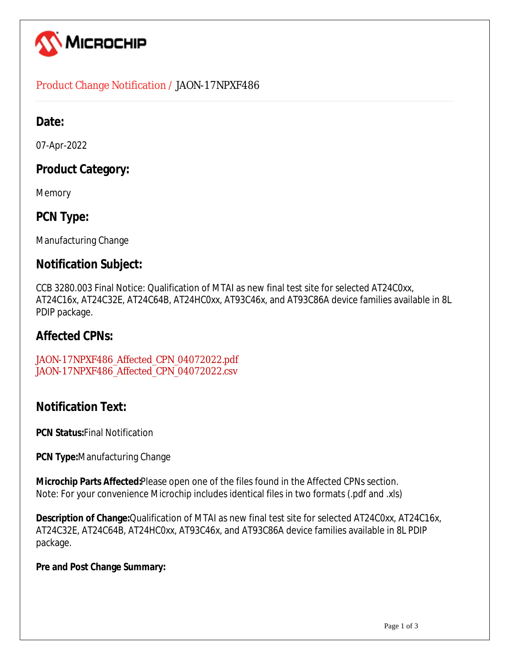

### Product Change Notification / JAON-17NPXF486

## **Date:**

07-Apr-2022

# **Product Category:**

Memory

# **PCN Type:**

Manufacturing Change

## **Notification Subject:**

CCB 3280.003 Final Notice: Qualification of MTAI as new final test site for selected AT24C0xx, AT24C16x, AT24C32E, AT24C64B, AT24HC0xx, AT93C46x, and AT93C86A device families available in 8L PDIP package.

### **Affected CPNs:**

[JAON-17NPXF486\\_Affected\\_CPN\\_04072022.pdf](https://www.microchip.com/mymicrochipapi/api/pcn/DownloadPcnDocument?pcnId=17703&affectedcpns=pdf) [JAON-17NPXF486\\_Affected\\_CPN\\_04072022.csv](https://www.microchip.com/mymicrochipapi/api/pcn/DownloadPcnDocument?pcnId=17703&affectedcpns=xls)

### **Notification Text:**

**PCN Status:**Final Notification

**PCN Type:**Manufacturing Change

**Microchip Parts Affected:**Please open one of the files found in the Affected CPNs section. Note: For your convenience Microchip includes identical files in two formats (.pdf and .xls)

**Description of Change:**Qualification of MTAI as new final test site for selected AT24C0xx, AT24C16x, AT24C32E, AT24C64B, AT24HC0xx, AT93C46x, and AT93C86A device families available in 8L PDIP package.

#### **Pre and Post Change Summary:**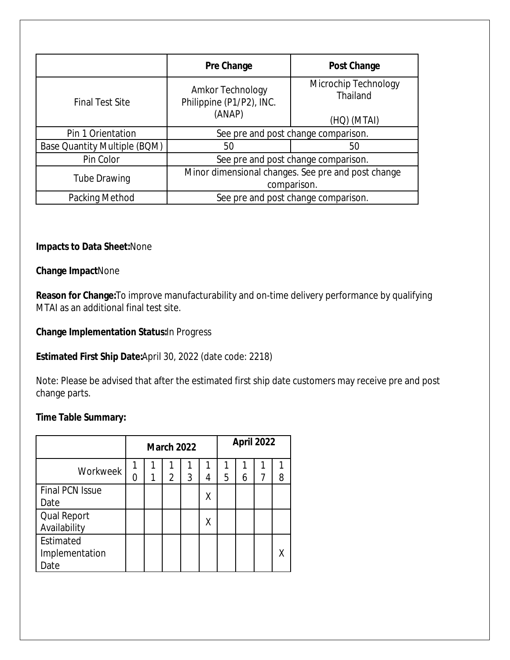|                                     | Pre Change                                         | <b>Post Change</b>               |  |  |  |  |  |
|-------------------------------------|----------------------------------------------------|----------------------------------|--|--|--|--|--|
| <b>Final Test Site</b>              | Amkor Technology<br>Philippine (P1/P2), INC.       | Microchip Technology<br>Thailand |  |  |  |  |  |
|                                     | (ANAP)                                             | (HQ) (MTAI)                      |  |  |  |  |  |
| Pin 1 Orientation                   | See pre and post change comparison.                |                                  |  |  |  |  |  |
| <b>Base Quantity Multiple (BQM)</b> | 50                                                 | 50                               |  |  |  |  |  |
| Pin Color                           | See pre and post change comparison.                |                                  |  |  |  |  |  |
| <b>Tube Drawing</b>                 | Minor dimensional changes. See pre and post change |                                  |  |  |  |  |  |
|                                     | comparison.                                        |                                  |  |  |  |  |  |
| Packing Method                      | See pre and post change comparison.                |                                  |  |  |  |  |  |

#### **Impacts to Data Sheet:**None

#### **Change Impact**None

**Reason for Change:**To improve manufacturability and on-time delivery performance by qualifying MTAI as an additional final test site.

#### **Change Implementation Status:**In Progress

#### **Estimated First Ship Date:**April 30, 2022 (date code: 2218)

Note: Please be advised that after the estimated first ship date customers may receive pre and post change parts.

#### **Time Table Summary:**

|                        | <b>March 2022</b> |   |   |   |   | <b>April 2022</b> |   |   |   |
|------------------------|-------------------|---|---|---|---|-------------------|---|---|---|
| Workweek               |                   |   |   |   |   |                   |   |   |   |
|                        | Ⴖ                 | 1 | 2 | 3 | 4 | 5                 | 6 | 7 | 8 |
| <b>Final PCN Issue</b> |                   |   |   |   | Χ |                   |   |   |   |
| Date                   |                   |   |   |   |   |                   |   |   |   |
| <b>Qual Report</b>     |                   |   |   |   | Χ |                   |   |   |   |
| Availability           |                   |   |   |   |   |                   |   |   |   |
| Estimated              |                   |   |   |   |   |                   |   |   |   |
| Implementation         |                   |   |   |   |   |                   |   |   |   |
| Date                   |                   |   |   |   |   |                   |   |   |   |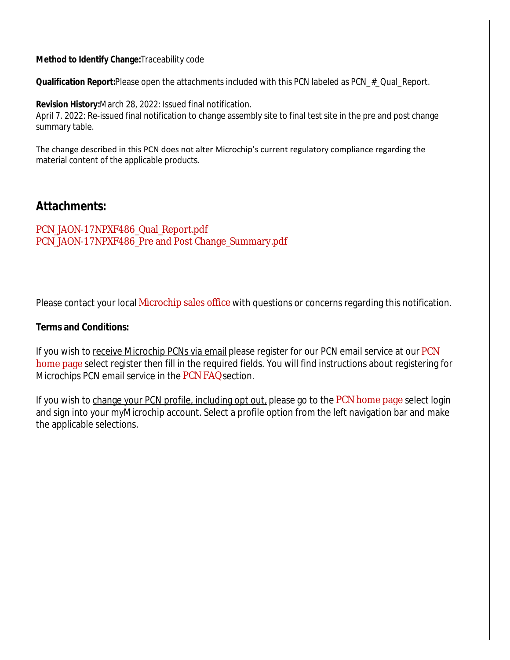**Method to Identify Change:**Traceability code

**Qualification Report:**Please open the attachments included with this PCN labeled as PCN\_#\_Qual\_Report.

**Revision History:**March 28, 2022: Issued final notification. April 7. 2022: Re-issued final notification to change assembly site to final test site in the pre and post change summary table.

The change described in this PCN does not alter Microchip's current regulatory compliance regarding the material content of the applicable products.

### **Attachments:**

PCN JAON-17NPXF486 Qual Report.pdf [PCN\\_JAON-17NPXF486\\_Pre and Post Change\\_Summary.pdf](https://www.microchip.com/mymicrochipapi/api/pcn/DownloadPcnDocument?pcnId=17703&filename=PCN_JAON-17NPXF486_Pre and Post Change_Summary.pdf)

Please contact your local [Microchip sales office](http://www.microchip.com/distributors/SalesHome.aspx) with questions or concerns regarding this notification.

#### **Terms and Conditions:**

If you wish to receive Microchip PCNs via email please register for our [PCN](http://www.microchip.com/pcn) email service at our PCN [home page](http://www.microchip.com/pcn) select register then fill in the required fields. You will find instructions about registering for Microchips PCN email service in the [PCN FAQ](http://www.microchip.com/pcn/faqs) section.

If you wish to change your PCN profile, including opt out, please go to the [PCN home page](http://www.microchip.com/pcn) select login and sign into your myMicrochip account. Select a profile option from the left navigation bar and make the applicable selections.